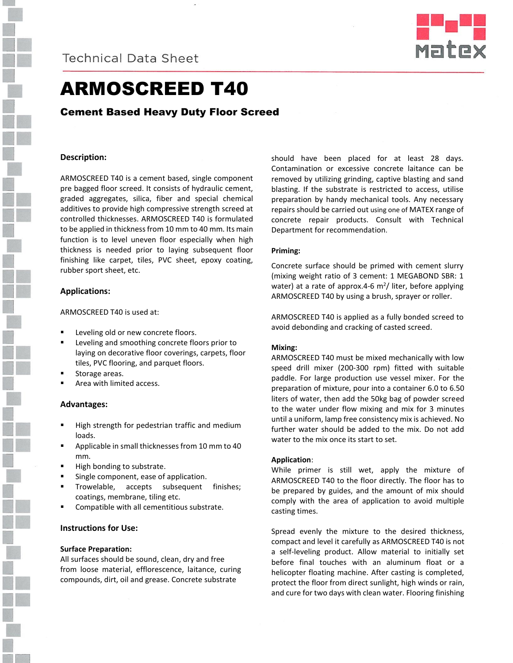



# ARMOSCREED T40

## Cement Based Heavy Duty Floor Screed

## **Description:**

ARMOSCREED T40 is a cement based, single component pre bagged floor screed. It consists of hydraulic cement, graded aggregates, silica, fiber and special chemical additives to provide high compressive strength screed at controlled thicknesses. ARMOSCREED T40 is formulated to be applied in thickness from 10 mm to 40 mm. Its main function is to level uneven floor especially when high thickness is needed prior to laying subsequent floor finishing like carpet, tiles, PVC sheet, epoxy coating, rubber sport sheet, etc.

## **Applications:**

ARMOSCREED T40 is used at:

- Leveling old or new concrete floors.
- Leveling and smoothing concrete floors prior to laying on decorative floor coverings, carpets, floor tiles, PVC flooring, and parquet floors.
- Storage areas.
- Area with limited access.

#### **Advantages:**

- High strength for pedestrian traffic and medium loads.
- Applicable in small thicknesses from 10 mm to 40 mm.
- High bonding to substrate.
- Single component, ease of application.
- Trowelable, accepts subsequent finishes; coatings, membrane, tiling etc.
- Compatible with all cementitious substrate.

### **Instructions for Use:**

#### **Surface Preparation:**

All surfaces should be sound, clean, dry and free from loose material, efflorescence, laitance, curing compounds, dirt, oil and grease. Concrete substrate

should have been placed for at least 28 days. Contamination or excessive concrete laitance can be removed by utilizing grinding, captive blasting and sand blasting. If the substrate is restricted to access, utilise preparation by handy mechanical tools. Any necessary repairs should be carried out using one of MATEX range of concrete repair products. Consult with Technical Department for recommendation.

#### **Priming:**

Concrete surface should be primed with cement slurry (mixing weight ratio of 3 cement: 1 MEGABOND SBR: 1 water) at a rate of approx.4-6 m<sup>2</sup>/ liter, before applying ARMOSCREED T40 by using a brush, sprayer or roller.

ARMOSCREED T40 is applied as a fully bonded screed to avoid debonding and cracking of casted screed.

#### **Mixing:**

ARMOSCREED T40 must be mixed mechanically with low speed drill mixer (200-300 rpm) fitted with suitable paddle. For large production use vessel mixer. For the preparation of mixture, pour into a container 6.0 to 6.50 liters of water, then add the 50kg bag of powder screed to the water under flow mixing and mix for 3 minutes until a uniform, lamp free consistency mix is achieved. No further water should be added to the mix. Do not add water to the mix once its start to set.

#### **Application**:

While primer is still wet, apply the mixture of ARMOSCREED T40 to the floor directly. The floor has to be prepared by guides, and the amount of mix should comply with the area of application to avoid multiple casting times.

Spread evenly the mixture to the desired thickness, compact and level it carefully as ARMOSCREED T40 is not a self-leveling product. Allow material to initially set before final touches with an aluminum float or a helicopter floating machine. After casting is completed, protect the floor from direct sunlight, high winds or rain, and cure for two days with clean water. Flooring finishing